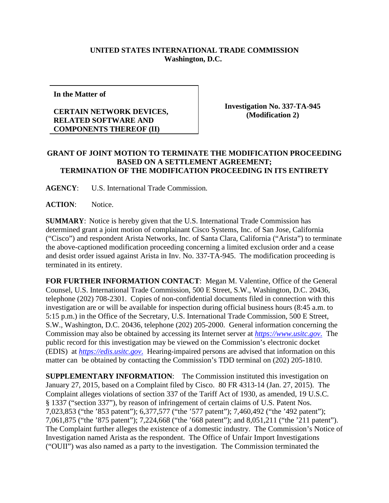## **UNITED STATES INTERNATIONAL TRADE COMMISSION Washington, D.C.**

**In the Matter of**

## **CERTAIN NETWORK DEVICES, RELATED SOFTWARE AND COMPONENTS THEREOF (II)**

**Investigation No. 337-TA-945 (Modification 2)**

## **GRANT OF JOINT MOTION TO TERMINATE THE MODIFICATION PROCEEDING BASED ON A SETTLEMENT AGREEMENT; TERMINATION OF THE MODIFICATION PROCEEDING IN ITS ENTIRETY**

**AGENCY**: U.S. International Trade Commission.

**ACTION**: Notice.

**SUMMARY**: Notice is hereby given that the U.S. International Trade Commission has determined grant a joint motion of complainant Cisco Systems, Inc. of San Jose, California ("Cisco") and respondent Arista Networks, Inc. of Santa Clara, California ("Arista") to terminate the above-captioned modification proceeding concerning a limited exclusion order and a cease and desist order issued against Arista in Inv. No. 337-TA-945. The modification proceeding is terminated in its entirety.

**FOR FURTHER INFORMATION CONTACT**: Megan M. Valentine, Office of the General Counsel, U.S. International Trade Commission, 500 E Street, S.W., Washington, D.C. 20436, telephone (202) 708-2301. Copies of non-confidential documents filed in connection with this investigation are or will be available for inspection during official business hours (8:45 a.m. to 5:15 p.m.) in the Office of the Secretary, U.S. International Trade Commission, 500 E Street, S.W., Washington, D.C. 20436, telephone (202) 205-2000. General information concerning the Commission may also be obtained by accessing its Internet server at *[https://www.usitc.gov](https://www.usitc.gov./)*. The public record for this investigation may be viewed on the Commission's electronic docket (EDIS) at *[https://edis.usitc.gov](https://edis.usitc.gov./)*. Hearing-impaired persons are advised that information on this matter can be obtained by contacting the Commission's TDD terminal on (202) 205-1810.

**SUPPLEMENTARY INFORMATION:** The Commission instituted this investigation on January 27, 2015, based on a Complaint filed by Cisco. 80 FR 4313-14 (Jan. 27, 2015). The Complaint alleges violations of section 337 of the Tariff Act of 1930, as amended, 19 U.S.C. § 1337 ("section 337"), by reason of infringement of certain claims of U.S. Patent Nos. 7,023,853 ("the '853 patent"); 6,377,577 ("the '577 patent"); 7,460,492 ("the '492 patent"); 7,061,875 ("the '875 patent"); 7,224,668 ("the '668 patent"); and 8,051,211 ("the '211 patent"). The Complaint further alleges the existence of a domestic industry. The Commission's Notice of Investigation named Arista as the respondent. The Office of Unfair Import Investigations ("OUII") was also named as a party to the investigation. The Commission terminated the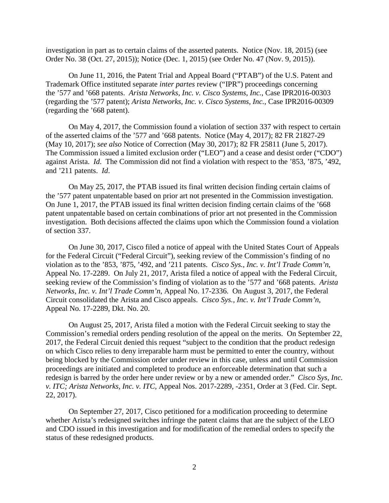investigation in part as to certain claims of the asserted patents. Notice (Nov. 18, 2015) (see Order No. 38 (Oct. 27, 2015)); Notice (Dec. 1, 2015) (see Order No. 47 (Nov. 9, 2015)).

On June 11, 2016, the Patent Trial and Appeal Board ("PTAB") of the U.S. Patent and Trademark Office instituted separate *inter partes* review ("IPR") proceedings concerning the '577 and '668 patents. *Arista Networks, Inc. v. Cisco Systems, Inc.*, Case IPR2016-00303 (regarding the '577 patent); *Arista Networks, Inc. v. Cisco Systems, Inc.*, Case IPR2016-00309 (regarding the '668 patent).

On May 4, 2017, the Commission found a violation of section 337 with respect to certain of the asserted claims of the '577 and '668 patents. Notice (May 4, 2017); 82 FR 21827-29 (May 10, 2017); *see also* Notice of Correction (May 30, 2017); 82 FR 25811 (June 5, 2017). The Commission issued a limited exclusion order ("LEO") and a cease and desist order ("CDO") against Arista. *Id*. The Commission did not find a violation with respect to the '853, '875, '492, and '211 patents. *Id*.

On May 25, 2017, the PTAB issued its final written decision finding certain claims of the '577 patent unpatentable based on prior art not presented in the Commission investigation. On June 1, 2017, the PTAB issued its final written decision finding certain claims of the '668 patent unpatentable based on certain combinations of prior art not presented in the Commission investigation. Both decisions affected the claims upon which the Commission found a violation of section 337.

On June 30, 2017, Cisco filed a notice of appeal with the United States Court of Appeals for the Federal Circuit ("Federal Circuit"), seeking review of the Commission's finding of no violation as to the '853, '875, '492, and '211 patents. *Cisco Sys., Inc. v. Int'l Trade Comm'n*, Appeal No. 17-2289. On July 21, 2017, Arista filed a notice of appeal with the Federal Circuit, seeking review of the Commission's finding of violation as to the '577 and '668 patents. *Arista Networks, Inc. v. Int'l Trade Comm'n*, Appeal No. 17-2336. On August 3, 2017, the Federal Circuit consolidated the Arista and Cisco appeals. *Cisco Sys., Inc. v. Int'l Trade Comm'n*, Appeal No. 17-2289, Dkt. No. 20.

On August 25, 2017, Arista filed a motion with the Federal Circuit seeking to stay the Commission's remedial orders pending resolution of the appeal on the merits. On September 22, 2017, the Federal Circuit denied this request "subject to the condition that the product redesign on which Cisco relies to deny irreparable harm must be permitted to enter the country, without being blocked by the Commission order under review in this case, unless and until Commission proceedings are initiated and completed to produce an enforceable determination that such a redesign is barred by the order here under review or by a new or amended order." *Cisco Sys, Inc. v. ITC; Arista Networks, Inc. v. ITC,* Appeal Nos. 2017-2289, -2351, Order at 3 (Fed. Cir. Sept. 22, 2017).

On September 27, 2017, Cisco petitioned for a modification proceeding to determine whether Arista's redesigned switches infringe the patent claims that are the subject of the LEO and CDO issued in this investigation and for modification of the remedial orders to specify the status of these redesigned products.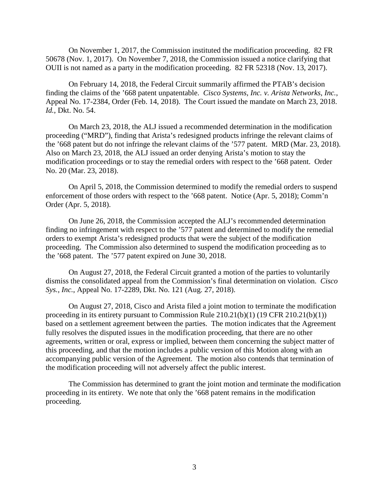On November 1, 2017, the Commission instituted the modification proceeding. 82 FR 50678 (Nov. 1, 2017). On November 7, 2018, the Commission issued a notice clarifying that OUII is not named as a party in the modification proceeding. 82 FR 52318 (Nov. 13, 2017).

On February 14, 2018, the Federal Circuit summarily affirmed the PTAB's decision finding the claims of the '668 patent unpatentable. *Cisco Systems, Inc. v. Arista Networks, Inc.*, Appeal No. 17-2384, Order (Feb. 14, 2018). The Court issued the mandate on March 23, 2018. *Id.*, Dkt. No. 54.

On March 23, 2018, the ALJ issued a recommended determination in the modification proceeding ("MRD"), finding that Arista's redesigned products infringe the relevant claims of the '668 patent but do not infringe the relevant claims of the '577 patent. MRD (Mar. 23, 2018). Also on March 23, 2018, the ALJ issued an order denying Arista's motion to stay the modification proceedings or to stay the remedial orders with respect to the '668 patent. Order No. 20 (Mar. 23, 2018).

On April 5, 2018, the Commission determined to modify the remedial orders to suspend enforcement of those orders with respect to the '668 patent. Notice (Apr. 5, 2018); Comm'n Order (Apr. 5, 2018).

On June 26, 2018, the Commission accepted the ALJ's recommended determination finding no infringement with respect to the '577 patent and determined to modify the remedial orders to exempt Arista's redesigned products that were the subject of the modification proceeding. The Commission also determined to suspend the modification proceeding as to the '668 patent. The '577 patent expired on June 30, 2018.

On August 27, 2018, the Federal Circuit granted a motion of the parties to voluntarily dismiss the consolidated appeal from the Commission's final determination on violation. *Cisco Sys., Inc.*, Appeal No. 17-2289, Dkt. No. 121 (Aug. 27, 2018).

On August 27, 2018, Cisco and Arista filed a joint motion to terminate the modification proceeding in its entirety pursuant to Commission Rule 210.21(b)(1) (19 CFR 210.21(b)(1)) based on a settlement agreement between the parties. The motion indicates that the Agreement fully resolves the disputed issues in the modification proceeding, that there are no other agreements, written or oral, express or implied, between them concerning the subject matter of this proceeding, and that the motion includes a public version of this Motion along with an accompanying public version of the Agreement. The motion also contends that termination of the modification proceeding will not adversely affect the public interest.

The Commission has determined to grant the joint motion and terminate the modification proceeding in its entirety. We note that only the '668 patent remains in the modification proceeding.